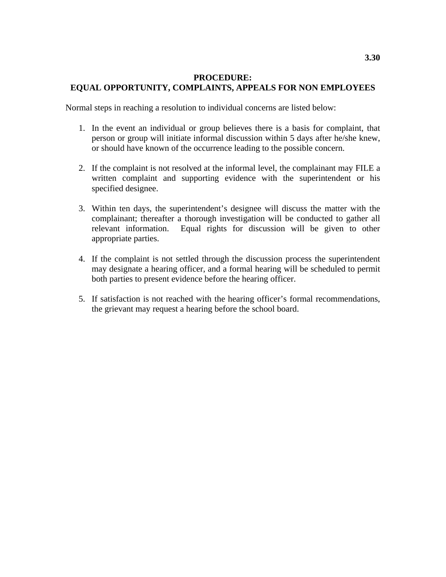## **PROCEDURE: EQUAL OPPORTUNITY, COMPLAINTS, APPEALS FOR NON EMPLOYEES**

Normal steps in reaching a resolution to individual concerns are listed below:

- 1. In the event an individual or group believes there is a basis for complaint, that person or group will initiate informal discussion within 5 days after he/she knew, or should have known of the occurrence leading to the possible concern.
- 2. If the complaint is not resolved at the informal level, the complainant may FILE a written complaint and supporting evidence with the superintendent or his specified designee.
- 3. Within ten days, the superintendent's designee will discuss the matter with the complainant; thereafter a thorough investigation will be conducted to gather all relevant information. Equal rights for discussion will be given to other appropriate parties.
- 4. If the complaint is not settled through the discussion process the superintendent may designate a hearing officer, and a formal hearing will be scheduled to permit both parties to present evidence before the hearing officer.
- 5. If satisfaction is not reached with the hearing officer's formal recommendations, the grievant may request a hearing before the school board.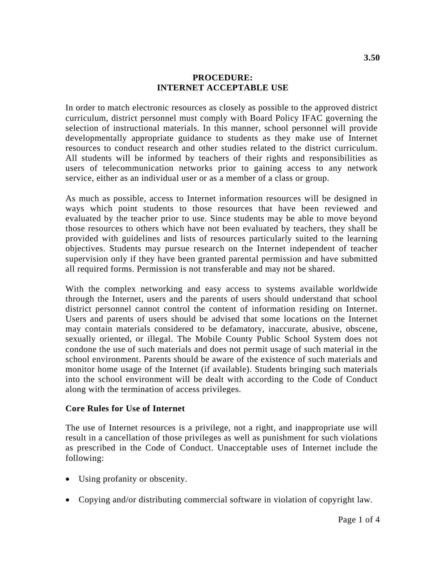## **PROCEDURE: INTERNET ACCEPTABLE USE**

In order to match electronic resources as closely as possible to the approved district curriculum, district personnel must comply with Board Policy IFAC governing the selection of instructional materials. In this manner, school personnel will provide developmentally appropriate guidance to students as they make use of Internet resources to conduct research and other studies related to the district curriculum. All students will be informed by teachers of their rights and responsibilities as users of telecommunication networks prior to gaining access to any network service, either as an individual user or as a member of a class or group.

As much as possible, access to Internet information resources will be designed in ways which point students to those resources that have been reviewed and evaluated by the teacher prior to use. Since students may be able to move beyond those resources to others which have not been evaluated by teachers, they shall be provided with guidelines and lists of resources particularly suited to the learning objectives. Students may pursue research on the Internet independent of teacher supervision only if they have been granted parental permission and have submitted all required forms. Permission is not transferable and may not be shared.

With the complex networking and easy access to systems available worldwide through the Internet, users and the parents of users should understand that school district personnel cannot control the content of information residing on Internet. Users and parents of users should be advised that some locations on the Internet may contain materials considered to be defamatory, inaccurate, abusive, obscene, sexually oriented, or illegal. The Mobile County Public School System does not condone the use of such materials and does not permit usage of such material in the school environment. Parents should be aware of the existence of such materials and monitor home usage of the Internet (if available). Students bringing such materials into the school environment will be dealt with according to the Code of Conduct along with the termination of access privileges.

## **Core Rules for Use of Internet**

The use of Internet resources is a privilege, not a right, and inappropriate use will result in a cancellation of those privileges as well as punishment for such violations as prescribed in the Code of Conduct. Unacceptable uses of Internet include the following:

- Using profanity or obscenity.
- Copying and/or distributing commercial software in violation of copyright law.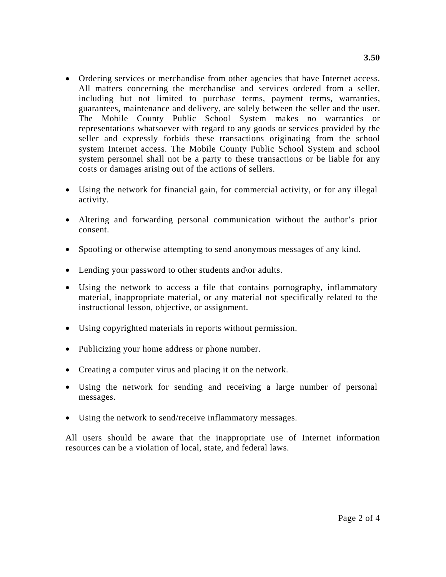- Ordering services or merchandise from other agencies that have Internet access. All matters concerning the merchandise and services ordered from a seller, including but not limited to purchase terms, payment terms, warranties, guarantees, maintenance and delivery, are solely between the seller and the user. The Mobile County Public School System makes no warranties or representations whatsoever with regard to any goods or services provided by the seller and expressly forbids these transactions originating from the school system Internet access. The Mobile County Public School System and school system personnel shall not be a party to these transactions or be liable for any costs or damages arising out of the actions of sellers.
- Using the network for financial gain, for commercial activity, or for any illegal activity.
- Altering and forwarding personal communication without the author's prior consent.
- Spoofing or otherwise attempting to send anonymous messages of any kind.
- Lending your password to other students and\or adults.
- Using the network to access a file that contains pornography, inflammatory material, inappropriate material, or any material not specifically related to the instructional lesson, objective, or assignment.
- Using copyrighted materials in reports without permission.
- Publicizing your home address or phone number.
- Creating a computer virus and placing it on the network.
- Using the network for sending and receiving a large number of personal messages.
- Using the network to send/receive inflammatory messages.

All users should be aware that the inappropriate use of Internet information resources can be a violation of local, state, and federal laws.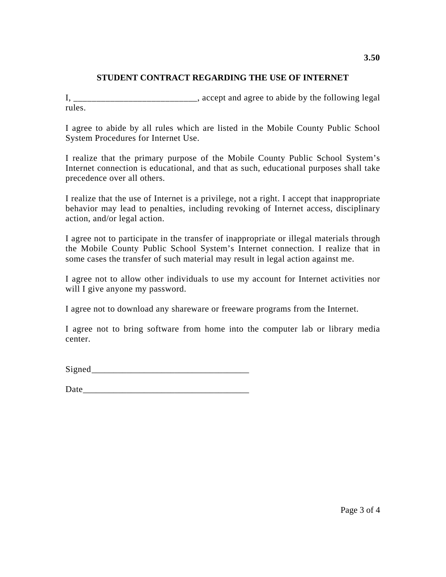# **STUDENT CONTRACT REGARDING THE USE OF INTERNET**

I, accept and agree to abide by the following legal rules.

I agree to abide by all rules which are listed in the Mobile County Public School System Procedures for Internet Use.

I realize that the primary purpose of the Mobile County Public School System's Internet connection is educational, and that as such, educational purposes shall take precedence over all others.

I realize that the use of Internet is a privilege, not a right. I accept that inappropriate behavior may lead to penalties, including revoking of Internet access, disciplinary action, and/or legal action.

I agree not to participate in the transfer of inappropriate or illegal materials through the Mobile County Public School System's Internet connection. I realize that in some cases the transfer of such material may result in legal action against me.

I agree not to allow other individuals to use my account for Internet activities nor will I give anyone my password.

I agree not to download any shareware or freeware programs from the Internet.

I agree not to bring software from home into the computer lab or library media center.

 $Signed$ 

Date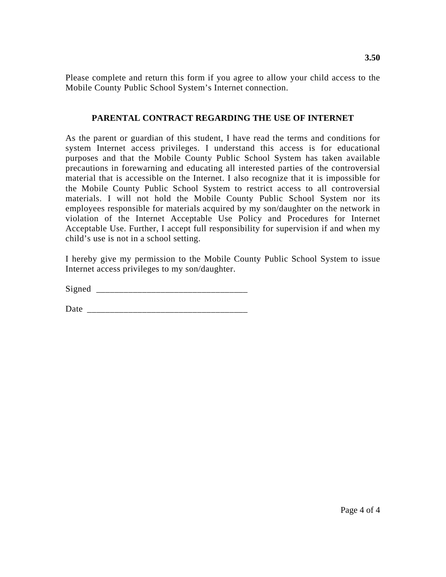Please complete and return this form if you agree to allow your child access to the Mobile County Public School System's Internet connection.

# **PARENTAL CONTRACT REGARDING THE USE OF INTERNET**

As the parent or guardian of this student, I have read the terms and conditions for system Internet access privileges. I understand this access is for educational purposes and that the Mobile County Public School System has taken available precautions in forewarning and educating all interested parties of the controversial material that is accessible on the Internet. I also recognize that it is impossible for the Mobile County Public School System to restrict access to all controversial materials. I will not hold the Mobile County Public School System nor its employees responsible for materials acquired by my son/daughter on the network in violation of the Internet Acceptable Use Policy and Procedures for Internet Acceptable Use. Further, I accept full responsibility for supervision if and when my child's use is not in a school setting.

I hereby give my permission to the Mobile County Public School System to issue Internet access privileges to my son/daughter.

 ${\rm Signal}$ 

Date \_\_\_\_\_\_\_\_\_\_\_\_\_\_\_\_\_\_\_\_\_\_\_\_\_\_\_\_\_\_\_\_\_\_\_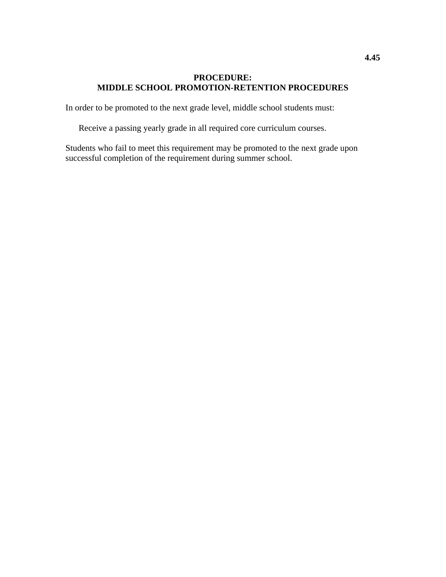# **PROCEDURE: MIDDLE SCHOOL PROMOTION-RETENTION PROCEDURES**

In order to be promoted to the next grade level, middle school students must:

Receive a passing yearly grade in all required core curriculum courses.

Students who fail to meet this requirement may be promoted to the next grade upon successful completion of the requirement during summer school.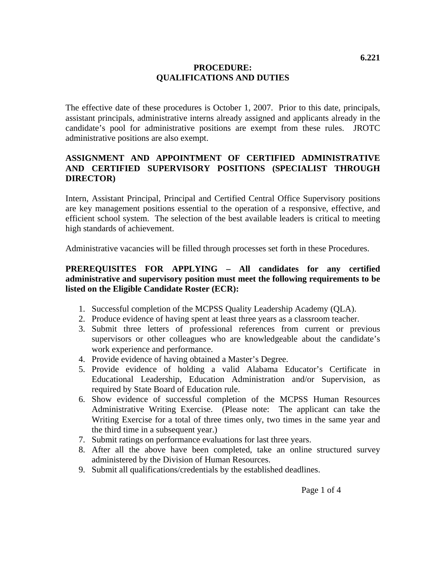# **PROCEDURE: QUALIFICATIONS AND DUTIES**

The effective date of these procedures is October 1, 2007. Prior to this date, principals, assistant principals, administrative interns already assigned and applicants already in the candidate's pool for administrative positions are exempt from these rules. JROTC administrative positions are also exempt.

# **ASSIGNMENT AND APPOINTMENT OF CERTIFIED ADMINISTRATIVE AND CERTIFIED SUPERVISORY POSITIONS (SPECIALIST THROUGH DIRECTOR)**

Intern, Assistant Principal, Principal and Certified Central Office Supervisory positions are key management positions essential to the operation of a responsive, effective, and efficient school system. The selection of the best available leaders is critical to meeting high standards of achievement.

Administrative vacancies will be filled through processes set forth in these Procedures.

# **PREREQUISITES FOR APPLYING – All candidates for any certified administrative and supervisory position must meet the following requirements to be listed on the Eligible Candidate Roster (ECR):**

- 1. Successful completion of the MCPSS Quality Leadership Academy (QLA).
- 2. Produce evidence of having spent at least three years as a classroom teacher.
- 3. Submit three letters of professional references from current or previous supervisors or other colleagues who are knowledgeable about the candidate's work experience and performance.
- 4. Provide evidence of having obtained a Master's Degree.
- 5. Provide evidence of holding a valid Alabama Educator's Certificate in Educational Leadership, Education Administration and/or Supervision, as required by State Board of Education rule.
- 6. Show evidence of successful completion of the MCPSS Human Resources Administrative Writing Exercise. (Please note: The applicant can take the Writing Exercise for a total of three times only, two times in the same year and the third time in a subsequent year.)
- 7. Submit ratings on performance evaluations for last three years.
- 8. After all the above have been completed, take an online structured survey administered by the Division of Human Resources.
- 9. Submit all qualifications/credentials by the established deadlines.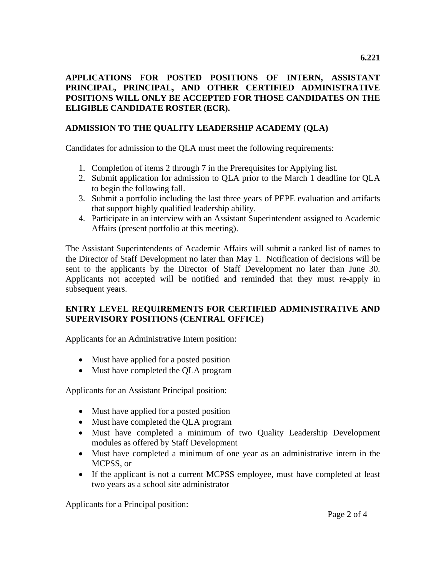# **APPLICATIONS FOR POSTED POSITIONS OF INTERN, ASSISTANT PRINCIPAL, PRINCIPAL, AND OTHER CERTIFIED ADMINISTRATIVE POSITIONS WILL ONLY BE ACCEPTED FOR THOSE CANDIDATES ON THE ELIGIBLE CANDIDATE ROSTER (ECR).**

# **ADMISSION TO THE QUALITY LEADERSHIP ACADEMY (QLA)**

Candidates for admission to the QLA must meet the following requirements:

- 1. Completion of items 2 through 7 in the Prerequisites for Applying list.
- 2. Submit application for admission to QLA prior to the March 1 deadline for QLA to begin the following fall.
- 3. Submit a portfolio including the last three years of PEPE evaluation and artifacts that support highly qualified leadership ability.
- 4. Participate in an interview with an Assistant Superintendent assigned to Academic Affairs (present portfolio at this meeting).

The Assistant Superintendents of Academic Affairs will submit a ranked list of names to the Director of Staff Development no later than May 1. Notification of decisions will be sent to the applicants by the Director of Staff Development no later than June 30. Applicants not accepted will be notified and reminded that they must re-apply in subsequent years.

# **ENTRY LEVEL REQUIREMENTS FOR CERTIFIED ADMINISTRATIVE AND SUPERVISORY POSITIONS (CENTRAL OFFICE)**

Applicants for an Administrative Intern position:

- Must have applied for a posted position
- Must have completed the OLA program

Applicants for an Assistant Principal position:

- Must have applied for a posted position
- Must have completed the QLA program
- Must have completed a minimum of two Quality Leadership Development modules as offered by Staff Development
- Must have completed a minimum of one year as an administrative intern in the MCPSS, or
- If the applicant is not a current MCPSS employee, must have completed at least two years as a school site administrator

Applicants for a Principal position: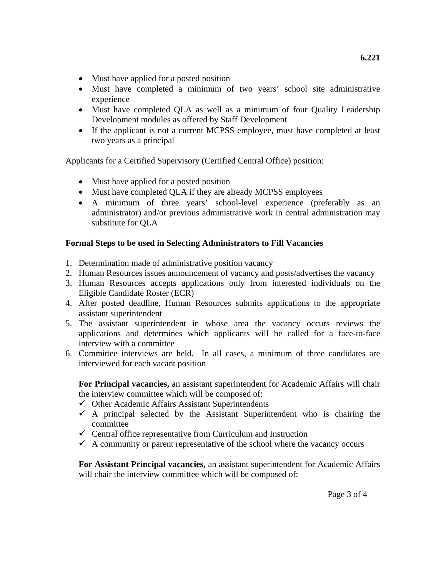- Must have applied for a posted position
- Must have completed a minimum of two years' school site administrative experience
- Must have completed QLA as well as a minimum of four Quality Leadership Development modules as offered by Staff Development
- If the applicant is not a current MCPSS employee, must have completed at least two years as a principal

Applicants for a Certified Supervisory (Certified Central Office) position:

- Must have applied for a posted position
- Must have completed QLA if they are already MCPSS employees
- A minimum of three years' school-level experience (preferably as an administrator) and/or previous administrative work in central administration may substitute for QLA

# **Formal Steps to be used in Selecting Administrators to Fill Vacancies**

- 1. Determination made of administrative position vacancy
- 2. Human Resources issues announcement of vacancy and posts/advertises the vacancy
- 3. Human Resources accepts applications only from interested individuals on the Eligible Candidate Roster (ECR)
- 4. After posted deadline, Human Resources submits applications to the appropriate assistant superintendent
- 5. The assistant superintendent in whose area the vacancy occurs reviews the applications and determines which applicants will be called for a face-to-face interview with a committee
- 6. Committee interviews are held. In all cases, a minimum of three candidates are interviewed for each vacant position

**For Principal vacancies,** an assistant superintendent for Academic Affairs will chair the interview committee which will be composed of:

- $\checkmark$  Other Academic Affairs Assistant Superintendents
- $\checkmark$  A principal selected by the Assistant Superintendent who is chairing the committee
- $\checkmark$  Central office representative from Curriculum and Instruction
- $\checkmark$  A community or parent representative of the school where the vacancy occurs

**For Assistant Principal vacancies,** an assistant superintendent for Academic Affairs will chair the interview committee which will be composed of: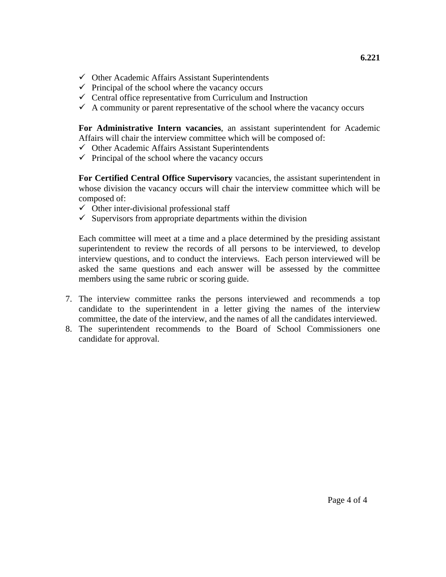- $\checkmark$  Other Academic Affairs Assistant Superintendents
- $\checkmark$  Principal of the school where the vacancy occurs
- $\checkmark$  Central office representative from Curriculum and Instruction
- $\checkmark$  A community or parent representative of the school where the vacancy occurs

**For Administrative Intern vacancies**, an assistant superintendent for Academic Affairs will chair the interview committee which will be composed of:

- $\checkmark$  Other Academic Affairs Assistant Superintendents
- $\checkmark$  Principal of the school where the vacancy occurs

**For Certified Central Office Supervisory** vacancies, the assistant superintendent in whose division the vacancy occurs will chair the interview committee which will be composed of:

- $\checkmark$  Other inter-divisional professional staff
- $\checkmark$  Supervisors from appropriate departments within the division

Each committee will meet at a time and a place determined by the presiding assistant superintendent to review the records of all persons to be interviewed, to develop interview questions, and to conduct the interviews. Each person interviewed will be asked the same questions and each answer will be assessed by the committee members using the same rubric or scoring guide.

- 7. The interview committee ranks the persons interviewed and recommends a top candidate to the superintendent in a letter giving the names of the interview committee, the date of the interview, and the names of all the candidates interviewed.
- 8. The superintendent recommends to the Board of School Commissioners one candidate for approval.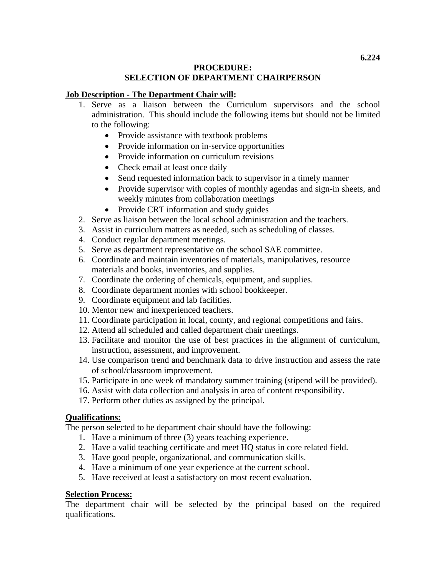# **PROCEDURE: SELECTION OF DEPARTMENT CHAIRPERSON**

## **Job Description - The Department Chair will:**

- 1. Serve as a liaison between the Curriculum supervisors and the school administration. This should include the following items but should not be limited to the following:
	- Provide assistance with textbook problems
	- Provide information on in-service opportunities
	- Provide information on curriculum revisions
	- Check email at least once daily
	- Send requested information back to supervisor in a timely manner
	- Provide supervisor with copies of monthly agendas and sign-in sheets, and weekly minutes from collaboration meetings
	- Provide CRT information and study guides
- 2. Serve as liaison between the local school administration and the teachers.
- 3. Assist in curriculum matters as needed, such as scheduling of classes.
- 4. Conduct regular department meetings.
- 5. Serve as department representative on the school SAE committee.
- 6. Coordinate and maintain inventories of materials, manipulatives, resource materials and books, inventories, and supplies.
- 7. Coordinate the ordering of chemicals, equipment, and supplies.
- 8. Coordinate department monies with school bookkeeper.
- 9. Coordinate equipment and lab facilities.
- 10. Mentor new and inexperienced teachers.
- 11. Coordinate participation in local, county, and regional competitions and fairs.
- 12. Attend all scheduled and called department chair meetings.
- 13. Facilitate and monitor the use of best practices in the alignment of curriculum, instruction, assessment, and improvement.
- 14. Use comparison trend and benchmark data to drive instruction and assess the rate of school/classroom improvement.
- 15. Participate in one week of mandatory summer training (stipend will be provided).
- 16. Assist with data collection and analysis in area of content responsibility.
- 17. Perform other duties as assigned by the principal.

# **Qualifications:**

The person selected to be department chair should have the following:

- 1. Have a minimum of three (3) years teaching experience.
- 2. Have a valid teaching certificate and meet HQ status in core related field.
- 3. Have good people, organizational, and communication skills.
- 4. Have a minimum of one year experience at the current school.
- 5. Have received at least a satisfactory on most recent evaluation.

# **Selection Process:**

The department chair will be selected by the principal based on the required qualifications.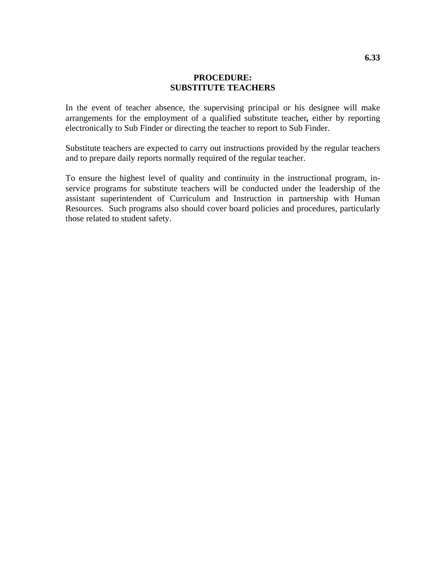## **PROCEDURE: SUBSTITUTE TEACHERS**

In the event of teacher absence, the supervising principal or his designee will make arrangements for the employment of a qualified substitute teacher*,* either by reporting electronically to Sub Finder or directing the teacher to report to Sub Finder.

Substitute teachers are expected to carry out instructions provided by the regular teachers and to prepare daily reports normally required of the regular teacher.

To ensure the highest level of quality and continuity in the instructional program, inservice programs for substitute teachers will be conducted under the leadership of the assistant superintendent of Curriculum and Instruction in partnership with Human Resources. Such programs also should cover board policies and procedures, particularly those related to student safety.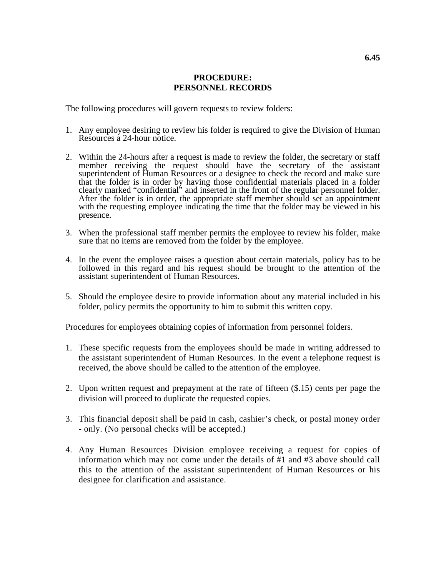### **PROCEDURE: PERSONNEL RECORDS**

The following procedures will govern requests to review folders:

- 1. Any employee desiring to review his folder is required to give the Division of Human Resources a 24-hour notice.
- 2. Within the 24-hours after a request is made to review the folder, the secretary or staff member receiving the request should have the secretary of the assistant superintendent of Human Resources or a designee to check the record and make sure that the folder is in order by having those confidential materials placed in a folder clearly marked "confidential" and inserted in the front of the regular personnel folder. After the folder is in order, the appropriate staff member should set an appointment with the requesting employee indicating the time that the folder may be viewed in his presence.
- 3. When the professional staff member permits the employee to review his folder, make sure that no items are removed from the folder by the employee.
- 4. In the event the employee raises a question about certain materials, policy has to be followed in this regard and his request should be brought to the attention of the assistant superintendent of Human Resources.
- 5. Should the employee desire to provide information about any material included in his folder, policy permits the opportunity to him to submit this written copy.

Procedures for employees obtaining copies of information from personnel folders.

- 1. These specific requests from the employees should be made in writing addressed to the assistant superintendent of Human Resources. In the event a telephone request is received, the above should be called to the attention of the employee.
- 2. Upon written request and prepayment at the rate of fifteen (\$.15) cents per page the division will proceed to duplicate the requested copies.
- 3. This financial deposit shall be paid in cash, cashier's check, or postal money order - only. (No personal checks will be accepted.)
- 4. Any Human Resources Division employee receiving a request for copies of information which may not come under the details of #1 and #3 above should call this to the attention of the assistant superintendent of Human Resources or his designee for clarification and assistance.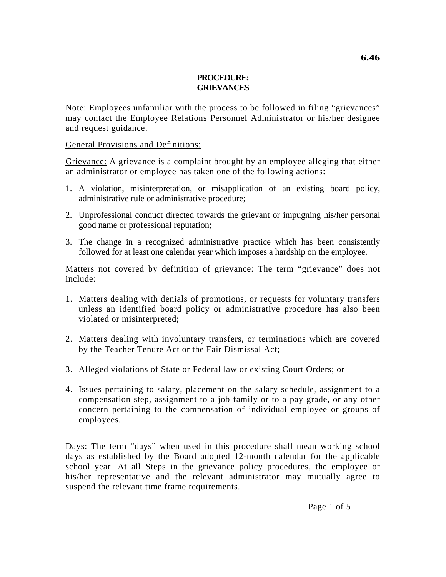### **PROCEDURE: GRIEVANCES**

Note: Employees unfamiliar with the process to be followed in filing "grievances" may contact the Employee Relations Personnel Administrator or his/her designee and request guidance.

## General Provisions and Definitions:

Grievance: A grievance is a complaint brought by an employee alleging that either an administrator or employee has taken one of the following actions:

- 1. A violation, misinterpretation, or misapplication of an existing board policy, administrative rule or administrative procedure;
- 2. Unprofessional conduct directed towards the grievant or impugning his/her personal good name or professional reputation;
- 3. The change in a recognized administrative practice which has been consistently followed for at least one calendar year which imposes a hardship on the employee.

Matters not covered by definition of grievance: The term "grievance" does not include:

- 1. Matters dealing with denials of promotions, or requests for voluntary transfers unless an identified board policy or administrative procedure has also been violated or misinterpreted;
- 2. Matters dealing with involuntary transfers, or terminations which are covered by the Teacher Tenure Act or the Fair Dismissal Act;
- 3. Alleged violations of State or Federal law or existing Court Orders; or
- 4. Issues pertaining to salary, placement on the salary schedule, assignment to a compensation step, assignment to a job family or to a pay grade, or any other concern pertaining to the compensation of individual employee or groups of employees.

Days: The term "days" when used in this procedure shall mean working school days as established by the Board adopted 12-month calendar for the applicable school year. At all Steps in the grievance policy procedures, the employee or his/her representative and the relevant administrator may mutually agree to suspend the relevant time frame requirements.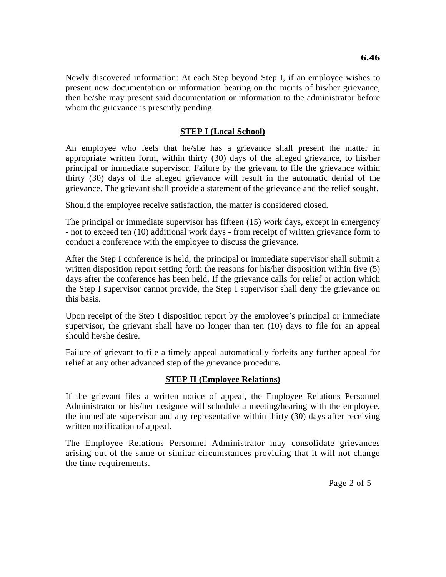Newly discovered information: At each Step beyond Step I, if an employee wishes to present new documentation or information bearing on the merits of his/her grievance, then he/she may present said documentation or information to the administrator before whom the grievance is presently pending.

## **STEP I (Local School)**

An employee who feels that he/she has a grievance shall present the matter in appropriate written form, within thirty (30) days of the alleged grievance, to his/her principal or immediate supervisor. Failure by the grievant to file the grievance within thirty (30) days of the alleged grievance will result in the automatic denial of the grievance. The grievant shall provide a statement of the grievance and the relief sought.

Should the employee receive satisfaction, the matter is considered closed.

The principal or immediate supervisor has fifteen (15) work days, except in emergency - not to exceed ten (10) additional work days - from receipt of written grievance form to conduct a conference with the employee to discuss the grievance.

After the Step I conference is held, the principal or immediate supervisor shall submit a written disposition report setting forth the reasons for his/her disposition within five (5) days after the conference has been held. If the grievance calls for relief or action which the Step I supervisor cannot provide, the Step I supervisor shall deny the grievance on this basis.

Upon receipt of the Step I disposition report by the employee's principal or immediate supervisor, the grievant shall have no longer than ten (10) days to file for an appeal should he/she desire.

Failure of grievant to file a timely appeal automatically forfeits any further appeal for relief at any other advanced step of the grievance procedure*.*

#### **STEP II (Employee Relations)**

If the grievant files a written notice of appeal, the Employee Relations Personnel Administrator or his/her designee will schedule a meeting/hearing with the employee, the immediate supervisor and any representative within thirty (30) days after receiving written notification of appeal.

The Employee Relations Personnel Administrator may consolidate grievances arising out of the same or similar circumstances providing that it will not change the time requirements.

Page 2 of 5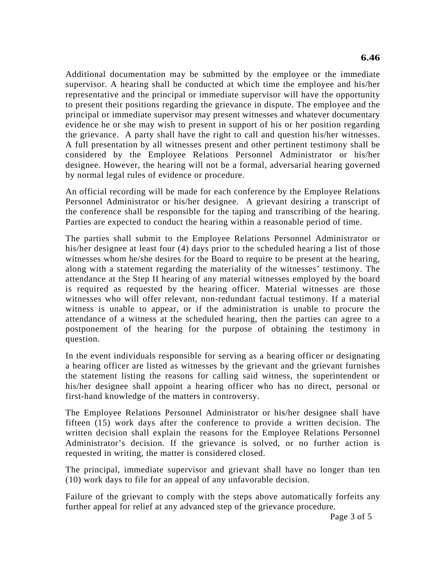Additional documentation may be submitted by the employee or the immediate supervisor. A hearing shall be conducted at which time the employee and his/her representative and the principal or immediate supervisor will have the opportunity to present their positions regarding the grievance in dispute. The employee and the principal or immediate supervisor may present witnesses and whatever documentary evidence he or she may wish to present in support of his or her position regarding the grievance. A party shall have the right to call and question his/her witnesses. A full presentation by all witnesses present and other pertinent testimony shall be considered by the Employee Relations Personnel Administrator or his/her designee. However, the hearing will not be a formal, adversarial hearing governed by normal legal rules of evidence or procedure.

An official recording will be made for each conference by the Employee Relations Personnel Administrator or his/her designee. A grievant desiring a transcript of the conference shall be responsible for the taping and transcribing of the hearing. Parties are expected to conduct the hearing within a reasonable period of time.

The parties shall submit to the Employee Relations Personnel Administrator or his/her designee at least four (4) days prior to the scheduled hearing a list of those witnesses whom he/she desires for the Board to require to be present at the hearing, along with a statement regarding the materiality of the witnesses' testimony. The attendance at the Step II hearing of any material witnesses employed by the board is required as requested by the hearing officer. Material witnesses are those witnesses who will offer relevant, non-redundant factual testimony. If a material witness is unable to appear, or if the administration is unable to procure the attendance of a witness at the scheduled hearing, then the parties can agree to a postponement of the hearing for the purpose of obtaining the testimony in question.

In the event individuals responsible for serving as a hearing officer or designating a hearing officer are listed as witnesses by the grievant and the grievant furnishes the statement listing the reasons for calling said witness, the superintendent or his/her designee shall appoint a hearing officer who has no direct, personal or first-hand knowledge of the matters in controversy.

The Employee Relations Personnel Administrator or his/her designee shall have fifteen (15) work days after the conference to provide a written decision. The written decision shall explain the reasons for the Employee Relations Personnel Administrator's decision. If the grievance is solved, or no further action is requested in writing, the matter is considered closed.

The principal, immediate supervisor and grievant shall have no longer than ten (10) work days to file for an appeal of any unfavorable decision.

Failure of the grievant to comply with the steps above automatically forfeits any further appeal for relief at any advanced step of the grievance procedure.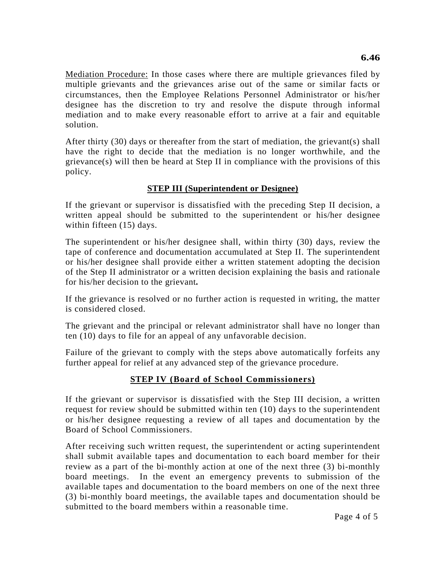Mediation Procedure: In those cases where there are multiple grievances filed by multiple grievants and the grievances arise out of the same or similar facts or circumstances, then the Employee Relations Personnel Administrator or his/her designee has the discretion to try and resolve the dispute through informal mediation and to make every reasonable effort to arrive at a fair and equitable solution.

After thirty (30) days or thereafter from the start of mediation, the grievant(s) shall have the right to decide that the mediation is no longer worthwhile, and the grievance(s) will then be heard at Step II in compliance with the provisions of this policy.

# **STEP III (Superintendent or Designee)**

If the grievant or supervisor is dissatisfied with the preceding Step II decision, a written appeal should be submitted to the superintendent or his/her designee within fifteen (15) days.

The superintendent or his/her designee shall, within thirty (30) days, review the tape of conference and documentation accumulated at Step II. The superintendent or his/her designee shall provide either a written statement adopting the decision of the Step II administrator or a written decision explaining the basis and rationale for his/her decision to the grievant*.* 

If the grievance is resolved or no further action is requested in writing, the matter is considered closed.

The grievant and the principal or relevant administrator shall have no longer than ten (10) days to file for an appeal of any unfavorable decision.

Failure of the grievant to comply with the steps above automatically forfeits any further appeal for relief at any advanced step of the grievance procedure.

# **STEP IV (Board of School Commissioners)**

If the grievant or supervisor is dissatisfied with the Step III decision, a written request for review should be submitted within ten (10) days to the superintendent or his/her designee requesting a review of all tapes and documentation by the Board of School Commissioners.

After receiving such written request, the superintendent or acting superintendent shall submit available tapes and documentation to each board member for their review as a part of the bi-monthly action at one of the next three (3) bi-monthly board meetings. In the event an emergency prevents to submission of the available tapes and documentation to the board members on one of the next three (3) bi-monthly board meetings, the available tapes and documentation should be submitted to the board members within a reasonable time.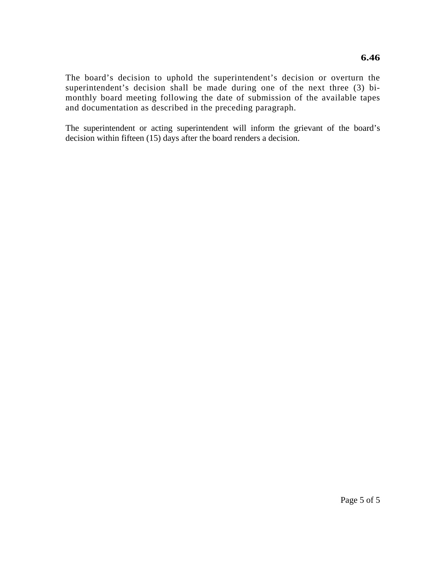The board's decision to uphold the superintendent's decision or overturn the superintendent's decision shall be made during one of the next three (3) bimonthly board meeting following the date of submission of the available tapes and documentation as described in the preceding paragraph.

The superintendent or acting superintendent will inform the grievant of the board's decision within fifteen (15) days after the board renders a decision.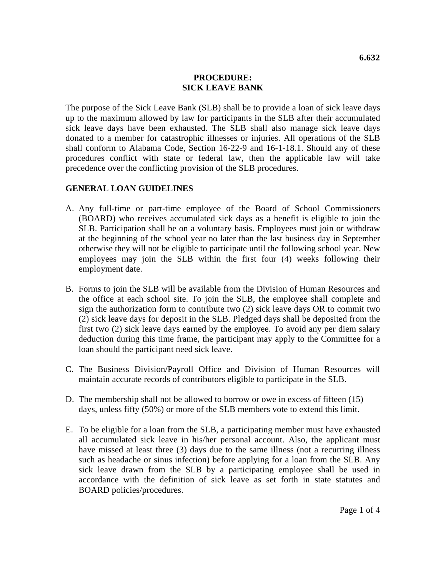#### **PROCEDURE: SICK LEAVE BANK**

The purpose of the Sick Leave Bank (SLB) shall be to provide a loan of sick leave days up to the maximum allowed by law for participants in the SLB after their accumulated sick leave days have been exhausted. The SLB shall also manage sick leave days donated to a member for catastrophic illnesses or injuries. All operations of the SLB shall conform to Alabama Code, Section 16-22-9 and 16-1-18.1. Should any of these procedures conflict with state or federal law, then the applicable law will take precedence over the conflicting provision of the SLB procedures.

# **GENERAL LOAN GUIDELINES**

- A. Any full-time or part-time employee of the Board of School Commissioners (BOARD) who receives accumulated sick days as a benefit is eligible to join the SLB. Participation shall be on a voluntary basis. Employees must join or withdraw at the beginning of the school year no later than the last business day in September otherwise they will not be eligible to participate until the following school year. New employees may join the SLB within the first four (4) weeks following their employment date.
- B. Forms to join the SLB will be available from the Division of Human Resources and the office at each school site. To join the SLB, the employee shall complete and sign the authorization form to contribute two (2) sick leave days OR to commit two (2) sick leave days for deposit in the SLB. Pledged days shall be deposited from the first two (2) sick leave days earned by the employee. To avoid any per diem salary deduction during this time frame, the participant may apply to the Committee for a loan should the participant need sick leave.
- C. The Business Division/Payroll Office and Division of Human Resources will maintain accurate records of contributors eligible to participate in the SLB.
- D. The membership shall not be allowed to borrow or owe in excess of fifteen (15) days, unless fifty (50%) or more of the SLB members vote to extend this limit.
- E. To be eligible for a loan from the SLB, a participating member must have exhausted all accumulated sick leave in his/her personal account. Also, the applicant must have missed at least three (3) days due to the same illness (not a recurring illness such as headache or sinus infection) before applying for a loan from the SLB. Any sick leave drawn from the SLB by a participating employee shall be used in accordance with the definition of sick leave as set forth in state statutes and BOARD policies/procedures.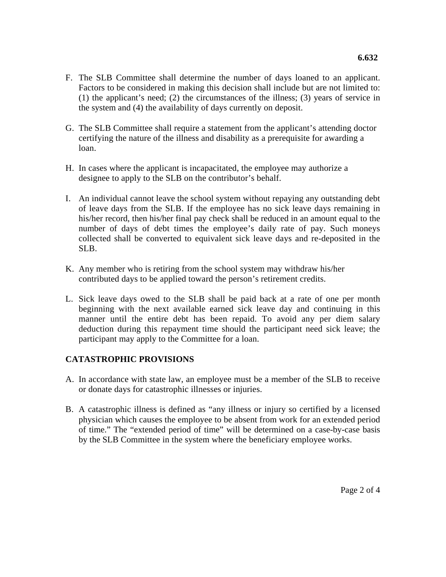- F. The SLB Committee shall determine the number of days loaned to an applicant. Factors to be considered in making this decision shall include but are not limited to: (1) the applicant's need; (2) the circumstances of the illness; (3) years of service in the system and (4) the availability of days currently on deposit.
- G. The SLB Committee shall require a statement from the applicant's attending doctor certifying the nature of the illness and disability as a prerequisite for awarding a loan.
- H. In cases where the applicant is incapacitated, the employee may authorize a designee to apply to the SLB on the contributor's behalf.
- I. An individual cannot leave the school system without repaying any outstanding debt of leave days from the SLB. If the employee has no sick leave days remaining in his/her record, then his/her final pay check shall be reduced in an amount equal to the number of days of debt times the employee's daily rate of pay. Such moneys collected shall be converted to equivalent sick leave days and re-deposited in the SLB.
- K. Any member who is retiring from the school system may withdraw his/her contributed days to be applied toward the person's retirement credits.
- L. Sick leave days owed to the SLB shall be paid back at a rate of one per month beginning with the next available earned sick leave day and continuing in this manner until the entire debt has been repaid. To avoid any per diem salary deduction during this repayment time should the participant need sick leave; the participant may apply to the Committee for a loan.

# **CATASTROPHIC PROVISIONS**

- A. In accordance with state law, an employee must be a member of the SLB to receive or donate days for catastrophic illnesses or injuries.
- B. A catastrophic illness is defined as "any illness or injury so certified by a licensed physician which causes the employee to be absent from work for an extended period of time." The "extended period of time" will be determined on a case-by-case basis by the SLB Committee in the system where the beneficiary employee works.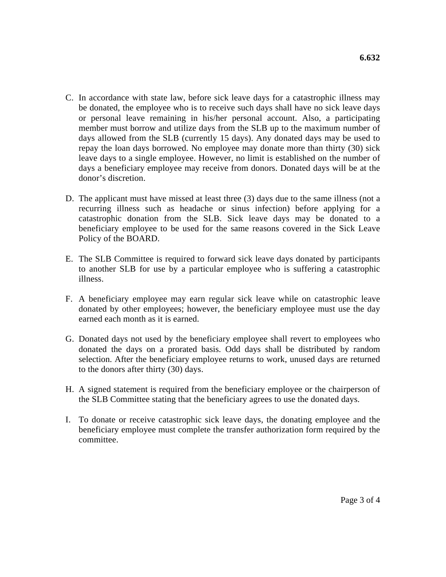- C. In accordance with state law, before sick leave days for a catastrophic illness may be donated, the employee who is to receive such days shall have no sick leave days or personal leave remaining in his/her personal account. Also, a participating member must borrow and utilize days from the SLB up to the maximum number of days allowed from the SLB (currently 15 days). Any donated days may be used to repay the loan days borrowed. No employee may donate more than thirty (30) sick leave days to a single employee. However, no limit is established on the number of days a beneficiary employee may receive from donors. Donated days will be at the donor's discretion.
- D. The applicant must have missed at least three (3) days due to the same illness (not a recurring illness such as headache or sinus infection) before applying for a catastrophic donation from the SLB. Sick leave days may be donated to a beneficiary employee to be used for the same reasons covered in the Sick Leave Policy of the BOARD.
- E. The SLB Committee is required to forward sick leave days donated by participants to another SLB for use by a particular employee who is suffering a catastrophic illness.
- F. A beneficiary employee may earn regular sick leave while on catastrophic leave donated by other employees; however, the beneficiary employee must use the day earned each month as it is earned.
- G. Donated days not used by the beneficiary employee shall revert to employees who donated the days on a prorated basis. Odd days shall be distributed by random selection. After the beneficiary employee returns to work, unused days are returned to the donors after thirty (30) days.
- H. A signed statement is required from the beneficiary employee or the chairperson of the SLB Committee stating that the beneficiary agrees to use the donated days.
- I. To donate or receive catastrophic sick leave days, the donating employee and the beneficiary employee must complete the transfer authorization form required by the committee.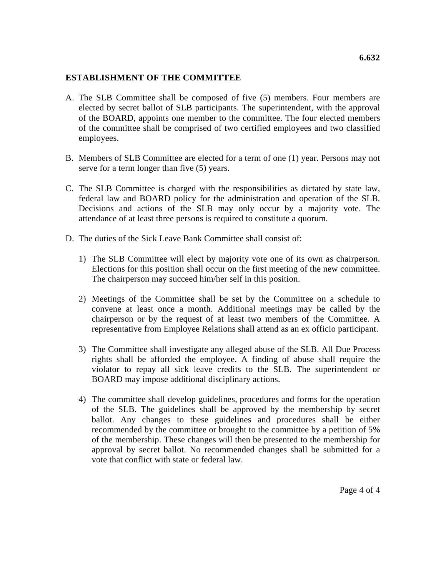## **ESTABLISHMENT OF THE COMMITTEE**

- A. The SLB Committee shall be composed of five (5) members. Four members are elected by secret ballot of SLB participants. The superintendent, with the approval of the BOARD, appoints one member to the committee. The four elected members of the committee shall be comprised of two certified employees and two classified employees.
- B. Members of SLB Committee are elected for a term of one (1) year. Persons may not serve for a term longer than five (5) years.
- C. The SLB Committee is charged with the responsibilities as dictated by state law, federal law and BOARD policy for the administration and operation of the SLB. Decisions and actions of the SLB may only occur by a majority vote. The attendance of at least three persons is required to constitute a quorum.
- D. The duties of the Sick Leave Bank Committee shall consist of:
	- 1) The SLB Committee will elect by majority vote one of its own as chairperson. Elections for this position shall occur on the first meeting of the new committee. The chairperson may succeed him/her self in this position.
	- 2) Meetings of the Committee shall be set by the Committee on a schedule to convene at least once a month. Additional meetings may be called by the chairperson or by the request of at least two members of the Committee. A representative from Employee Relations shall attend as an ex officio participant.
	- 3) The Committee shall investigate any alleged abuse of the SLB. All Due Process rights shall be afforded the employee. A finding of abuse shall require the violator to repay all sick leave credits to the SLB. The superintendent or BOARD may impose additional disciplinary actions.
	- 4) The committee shall develop guidelines, procedures and forms for the operation of the SLB. The guidelines shall be approved by the membership by secret ballot. Any changes to these guidelines and procedures shall be either recommended by the committee or brought to the committee by a petition of 5% of the membership. These changes will then be presented to the membership for approval by secret ballot. No recommended changes shall be submitted for a vote that conflict with state or federal law.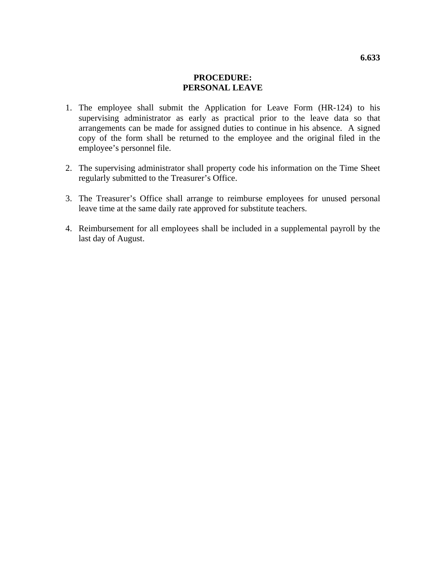## **PROCEDURE: PERSONAL LEAVE**

- 1. The employee shall submit the Application for Leave Form (HR-124) to his supervising administrator as early as practical prior to the leave data so that arrangements can be made for assigned duties to continue in his absence. A signed copy of the form shall be returned to the employee and the original filed in the employee's personnel file.
- 2. The supervising administrator shall property code his information on the Time Sheet regularly submitted to the Treasurer's Office.
- 3. The Treasurer's Office shall arrange to reimburse employees for unused personal leave time at the same daily rate approved for substitute teachers.
- 4. Reimbursement for all employees shall be included in a supplemental payroll by the last day of August.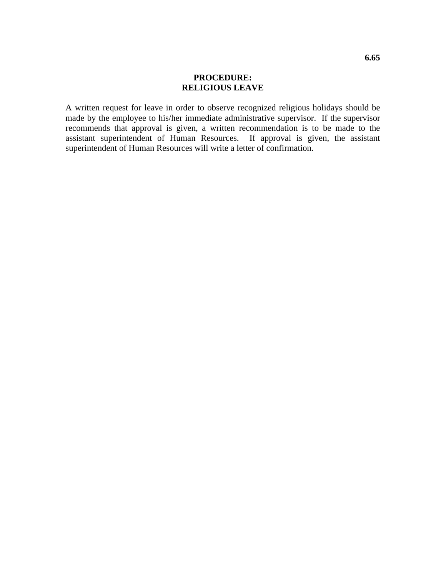## **PROCEDURE: RELIGIOUS LEAVE**

A written request for leave in order to observe recognized religious holidays should be made by the employee to his/her immediate administrative supervisor. If the supervisor recommends that approval is given, a written recommendation is to be made to the assistant superintendent of Human Resources. If approval is given, the assistant superintendent of Human Resources will write a letter of confirmation.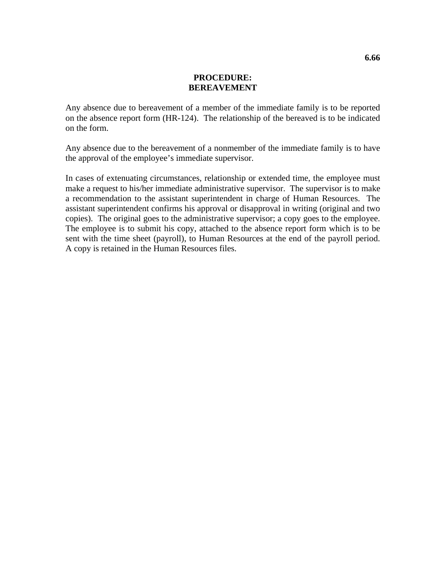#### **PROCEDURE: BEREAVEMENT**

Any absence due to bereavement of a member of the immediate family is to be reported on the absence report form (HR-124). The relationship of the bereaved is to be indicated on the form.

Any absence due to the bereavement of a nonmember of the immediate family is to have the approval of the employee's immediate supervisor.

In cases of extenuating circumstances, relationship or extended time, the employee must make a request to his/her immediate administrative supervisor. The supervisor is to make a recommendation to the assistant superintendent in charge of Human Resources. The assistant superintendent confirms his approval or disapproval in writing (original and two copies). The original goes to the administrative supervisor; a copy goes to the employee. The employee is to submit his copy, attached to the absence report form which is to be sent with the time sheet (payroll), to Human Resources at the end of the payroll period. A copy is retained in the Human Resources files.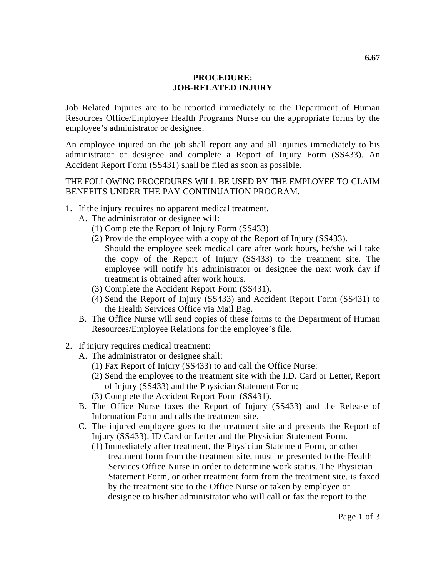### **PROCEDURE: JOB-RELATED INJURY**

Job Related Injuries are to be reported immediately to the Department of Human Resources Office/Employee Health Programs Nurse on the appropriate forms by the employee's administrator or designee.

An employee injured on the job shall report any and all injuries immediately to his administrator or designee and complete a Report of Injury Form (SS433). An Accident Report Form (SS431) shall be filed as soon as possible.

THE FOLLOWING PROCEDURES WILL BE USED BY THE EMPLOYEE TO CLAIM BENEFITS UNDER THE PAY CONTINUATION PROGRAM.

- 1. If the injury requires no apparent medical treatment.
	- A. The administrator or designee will:
		- (1) Complete the Report of Injury Form (SS433)
		- (2) Provide the employee with a copy of the Report of Injury (SS433). Should the employee seek medical care after work hours, he/she will take the copy of the Report of Injury (SS433) to the treatment site. The employee will notify his administrator or designee the next work day if treatment is obtained after work hours.
		- (3) Complete the Accident Report Form (SS431).
		- (4) Send the Report of Injury (SS433) and Accident Report Form (SS431) to the Health Services Office via Mail Bag.
	- B. The Office Nurse will send copies of these forms to the Department of Human Resources/Employee Relations for the employee's file.
- 2. If injury requires medical treatment:
	- A. The administrator or designee shall:
		- (1) Fax Report of Injury (SS433) to and call the Office Nurse:
		- (2) Send the employee to the treatment site with the I.D. Card or Letter, Report of Injury (SS433) and the Physician Statement Form;
		- (3) Complete the Accident Report Form (SS431).
	- B. The Office Nurse faxes the Report of Injury (SS433) and the Release of Information Form and calls the treatment site.
	- C. The injured employee goes to the treatment site and presents the Report of Injury (SS433), ID Card or Letter and the Physician Statement Form.
		- (1) Immediately after treatment, the Physician Statement Form, or other treatment form from the treatment site, must be presented to the Health Services Office Nurse in order to determine work status. The Physician Statement Form, or other treatment form from the treatment site, is faxed by the treatment site to the Office Nurse or taken by employee or designee to his/her administrator who will call or fax the report to the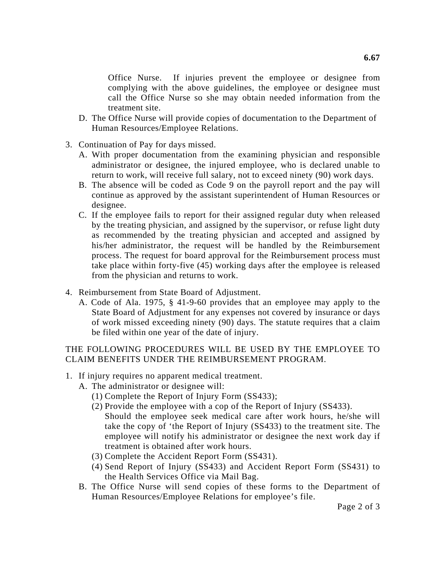Office Nurse. If injuries prevent the employee or designee from complying with the above guidelines, the employee or designee must call the Office Nurse so she may obtain needed information from the treatment site.

- D. The Office Nurse will provide copies of documentation to the Department of Human Resources/Employee Relations.
- 3. Continuation of Pay for days missed.
	- A. With proper documentation from the examining physician and responsible administrator or designee, the injured employee, who is declared unable to return to work, will receive full salary, not to exceed ninety (90) work days.
	- B. The absence will be coded as Code 9 on the payroll report and the pay will continue as approved by the assistant superintendent of Human Resources or designee.
	- C. If the employee fails to report for their assigned regular duty when released by the treating physician, and assigned by the supervisor, or refuse light duty as recommended by the treating physician and accepted and assigned by his/her administrator, the request will be handled by the Reimbursement process. The request for board approval for the Reimbursement process must take place within forty-five (45) working days after the employee is released from the physician and returns to work.
- 4. Reimbursement from State Board of Adjustment.
	- A. Code of Ala. 1975, § 41-9-60 provides that an employee may apply to the State Board of Adjustment for any expenses not covered by insurance or days of work missed exceeding ninety (90) days. The statute requires that a claim be filed within one year of the date of injury.

# THE FOLLOWING PROCEDURES WILL BE USED BY THE EMPLOYEE TO CLAIM BENEFITS UNDER THE REIMBURSEMENT PROGRAM.

- 1. If injury requires no apparent medical treatment.
	- A. The administrator or designee will:
		- (1) Complete the Report of Injury Form (SS433);
		- (2) Provide the employee with a cop of the Report of Injury (SS433). Should the employee seek medical care after work hours, he/she will take the copy of 'the Report of Injury (SS433) to the treatment site. The employee will notify his administrator or designee the next work day if treatment is obtained after work hours.
		- (3) Complete the Accident Report Form (SS431).
		- (4) Send Report of Injury (SS433) and Accident Report Form (SS431) to the Health Services Office via Mail Bag.
	- B. The Office Nurse will send copies of these forms to the Department of Human Resources/Employee Relations for employee's file.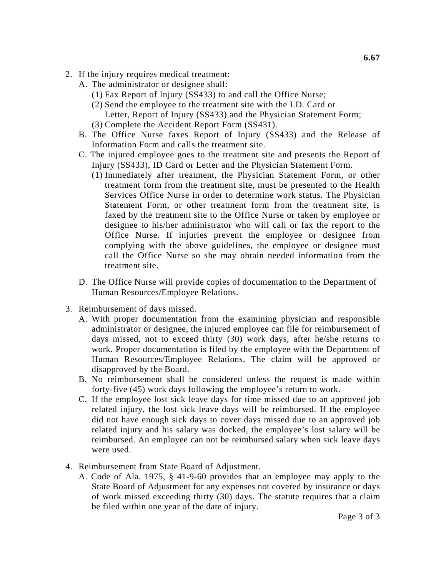- 2. If the injury requires medical treatment:
	- A. The administrator or designee shall:
		- (1) Fax Report of Injury (SS433) to and call the Office Nurse;
		- (2) Send the employee to the treatment site with the I.D. Card or Letter, Report of Injury (SS433) and the Physician Statement Form; (3) Complete the Accident Report Form (SS431).
	- B. The Office Nurse faxes Report of Injury (SS433) and the Release of Information Form and calls the treatment site.
	- C. The injured employee goes to the treatment site and presents the Report of Injury (SS433), ID Card or Letter and the Physician Statement Form.
		- (1) Immediately after treatment, the Physician Statement Form, or other treatment form from the treatment site, must be presented to the Health Services Office Nurse in order to determine work status. The Physician Statement Form, or other treatment form from the treatment site, is faxed by the treatment site to the Office Nurse or taken by employee or designee to his/her administrator who will call or fax the report to the Office Nurse. If injuries prevent the employee or designee from complying with the above guidelines, the employee or designee must call the Office Nurse so she may obtain needed information from the treatment site.
	- D. The Office Nurse will provide copies of documentation to the Department of Human Resources/Employee Relations.
- 3. Reimbursement of days missed.
	- A. With proper documentation from the examining physician and responsible administrator or designee, the injured employee can file for reimbursement of days missed, not to exceed thirty (30) work days, after he/she returns to work. Proper documentation is filed by the employee with the Department of Human Resources/Employee Relations. The claim will be approved or disapproved by the Board.
	- B. No reimbursement shall be considered unless the request is made within forty-five (45) work days following the employee's return to work.
	- C. If the employee lost sick leave days for time missed due to an approved job related injury, the lost sick leave days will be reimbursed. If the employee did not have enough sick days to cover days missed due to an approved job related injury and his salary was docked, the employee's lost salary will be reimbursed. An employee can not be reimbursed salary when sick leave days were used.
- 4. Reimbursement from State Board of Adjustment.
	- A. Code of Ala. 1975, § 41-9-60 provides that an employee may apply to the State Board of Adjustment for any expenses not covered by insurance or days of work missed exceeding thirty (30) days. The statute requires that a claim be filed within one year of the date of injury.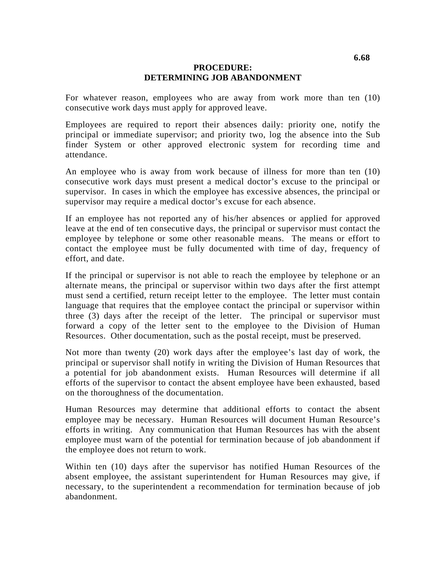### **PROCEDURE: DETERMINING JOB ABANDONMENT**

For whatever reason, employees who are away from work more than ten (10) consecutive work days must apply for approved leave.

Employees are required to report their absences daily: priority one, notify the principal or immediate supervisor; and priority two, log the absence into the Sub finder System or other approved electronic system for recording time and attendance.

An employee who is away from work because of illness for more than ten (10) consecutive work days must present a medical doctor's excuse to the principal or supervisor. In cases in which the employee has excessive absences, the principal or supervisor may require a medical doctor's excuse for each absence.

If an employee has not reported any of his/her absences or applied for approved leave at the end of ten consecutive days, the principal or supervisor must contact the employee by telephone or some other reasonable means. The means or effort to contact the employee must be fully documented with time of day, frequency of effort, and date.

If the principal or supervisor is not able to reach the employee by telephone or an alternate means, the principal or supervisor within two days after the first attempt must send a certified, return receipt letter to the employee. The letter must contain language that requires that the employee contact the principal or supervisor within three (3) days after the receipt of the letter. The principal or supervisor must forward a copy of the letter sent to the employee to the Division of Human Resources. Other documentation, such as the postal receipt, must be preserved.

Not more than twenty (20) work days after the employee's last day of work, the principal or supervisor shall notify in writing the Division of Human Resources that a potential for job abandonment exists. Human Resources will determine if all efforts of the supervisor to contact the absent employee have been exhausted, based on the thoroughness of the documentation.

Human Resources may determine that additional efforts to contact the absent employee may be necessary. Human Resources will document Human Resource's efforts in writing. Any communication that Human Resources has with the absent employee must warn of the potential for termination because of job abandonment if the employee does not return to work.

Within ten (10) days after the supervisor has notified Human Resources of the absent employee, the assistant superintendent for Human Resources may give, if necessary, to the superintendent a recommendation for termination because of job abandonment.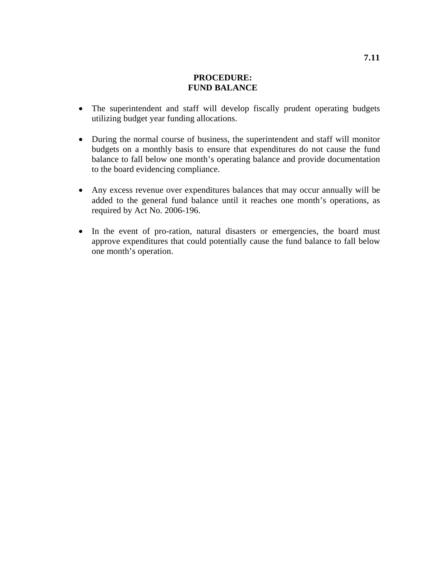## **PROCEDURE: FUND BALANCE**

- The superintendent and staff will develop fiscally prudent operating budgets utilizing budget year funding allocations.
- During the normal course of business, the superintendent and staff will monitor budgets on a monthly basis to ensure that expenditures do not cause the fund balance to fall below one month's operating balance and provide documentation to the board evidencing compliance.
- Any excess revenue over expenditures balances that may occur annually will be added to the general fund balance until it reaches one month's operations, as required by Act No. 2006-196.
- In the event of pro-ration, natural disasters or emergencies, the board must approve expenditures that could potentially cause the fund balance to fall below one month's operation.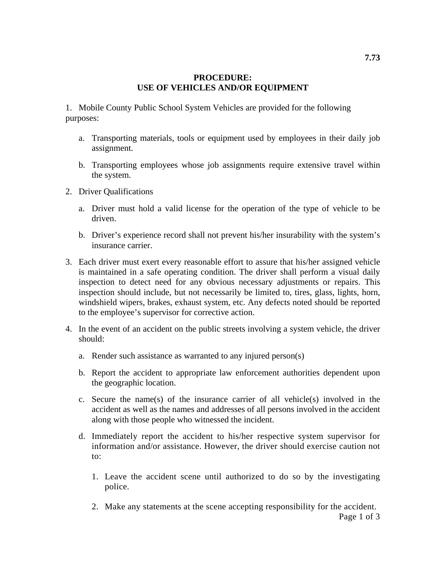## **PROCEDURE: USE OF VEHICLES AND/OR EQUIPMENT**

1. Mobile County Public School System Vehicles are provided for the following purposes:

- a. Transporting materials, tools or equipment used by employees in their daily job assignment.
- b. Transporting employees whose job assignments require extensive travel within the system.
- 2. Driver Qualifications
	- a. Driver must hold a valid license for the operation of the type of vehicle to be driven.
	- b. Driver's experience record shall not prevent his/her insurability with the system's insurance carrier.
- 3. Each driver must exert every reasonable effort to assure that his/her assigned vehicle is maintained in a safe operating condition. The driver shall perform a visual daily inspection to detect need for any obvious necessary adjustments or repairs. This inspection should include, but not necessarily be limited to, tires, glass, lights, horn, windshield wipers, brakes, exhaust system, etc. Any defects noted should be reported to the employee's supervisor for corrective action.
- 4. In the event of an accident on the public streets involving a system vehicle, the driver should:
	- a. Render such assistance as warranted to any injured person(s)
	- b. Report the accident to appropriate law enforcement authorities dependent upon the geographic location.
	- c. Secure the name(s) of the insurance carrier of all vehicle(s) involved in the accident as well as the names and addresses of all persons involved in the accident along with those people who witnessed the incident.
	- d. Immediately report the accident to his/her respective system supervisor for information and/or assistance. However, the driver should exercise caution not to:
		- 1. Leave the accident scene until authorized to do so by the investigating police.
		- 2. Make any statements at the scene accepting responsibility for the accident.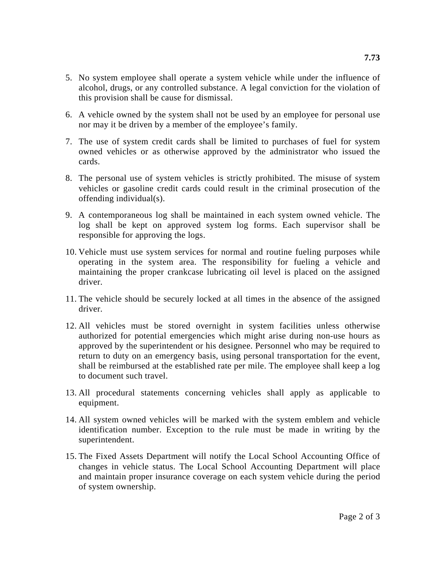- 5. No system employee shall operate a system vehicle while under the influence of alcohol, drugs, or any controlled substance. A legal conviction for the violation of this provision shall be cause for dismissal.
- 6. A vehicle owned by the system shall not be used by an employee for personal use nor may it be driven by a member of the employee's family.
- 7. The use of system credit cards shall be limited to purchases of fuel for system owned vehicles or as otherwise approved by the administrator who issued the cards.
- 8. The personal use of system vehicles is strictly prohibited. The misuse of system vehicles or gasoline credit cards could result in the criminal prosecution of the offending individual(s).
- 9. A contemporaneous log shall be maintained in each system owned vehicle. The log shall be kept on approved system log forms. Each supervisor shall be responsible for approving the logs.
- 10. Vehicle must use system services for normal and routine fueling purposes while operating in the system area. The responsibility for fueling a vehicle and maintaining the proper crankcase lubricating oil level is placed on the assigned driver.
- 11. The vehicle should be securely locked at all times in the absence of the assigned driver.
- 12. All vehicles must be stored overnight in system facilities unless otherwise authorized for potential emergencies which might arise during non-use hours as approved by the superintendent or his designee. Personnel who may be required to return to duty on an emergency basis, using personal transportation for the event, shall be reimbursed at the established rate per mile. The employee shall keep a log to document such travel.
- 13. All procedural statements concerning vehicles shall apply as applicable to equipment.
- 14. All system owned vehicles will be marked with the system emblem and vehicle identification number. Exception to the rule must be made in writing by the superintendent.
- 15. The Fixed Assets Department will notify the Local School Accounting Office of changes in vehicle status. The Local School Accounting Department will place and maintain proper insurance coverage on each system vehicle during the period of system ownership.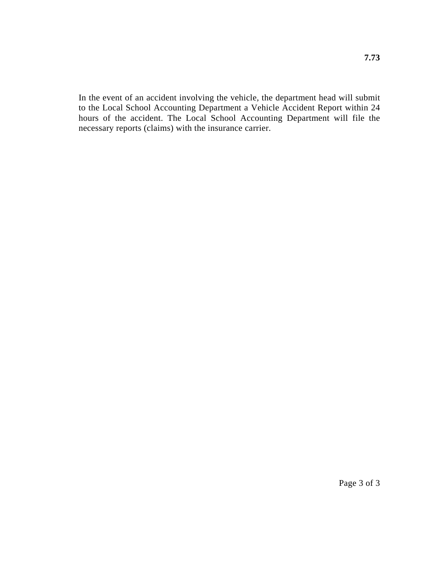In the event of an accident involving the vehicle, the department head will submit to the Local School Accounting Department a Vehicle Accident Report within 24 hours of the accident. The Local School Accounting Department will file the necessary reports (claims) with the insurance carrier.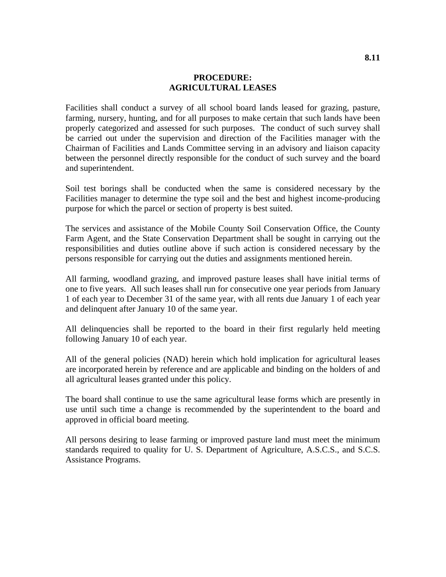### **PROCEDURE: AGRICULTURAL LEASES**

Facilities shall conduct a survey of all school board lands leased for grazing, pasture, farming, nursery, hunting, and for all purposes to make certain that such lands have been properly categorized and assessed for such purposes. The conduct of such survey shall be carried out under the supervision and direction of the Facilities manager with the Chairman of Facilities and Lands Committee serving in an advisory and liaison capacity between the personnel directly responsible for the conduct of such survey and the board and superintendent.

Soil test borings shall be conducted when the same is considered necessary by the Facilities manager to determine the type soil and the best and highest income-producing purpose for which the parcel or section of property is best suited.

The services and assistance of the Mobile County Soil Conservation Office, the County Farm Agent, and the State Conservation Department shall be sought in carrying out the responsibilities and duties outline above if such action is considered necessary by the persons responsible for carrying out the duties and assignments mentioned herein.

All farming, woodland grazing, and improved pasture leases shall have initial terms of one to five years. All such leases shall run for consecutive one year periods from January 1 of each year to December 31 of the same year, with all rents due January 1 of each year and delinquent after January 10 of the same year.

All delinquencies shall be reported to the board in their first regularly held meeting following January 10 of each year.

All of the general policies (NAD) herein which hold implication for agricultural leases are incorporated herein by reference and are applicable and binding on the holders of and all agricultural leases granted under this policy.

The board shall continue to use the same agricultural lease forms which are presently in use until such time a change is recommended by the superintendent to the board and approved in official board meeting.

All persons desiring to lease farming or improved pasture land must meet the minimum standards required to quality for U. S. Department of Agriculture, A.S.C.S., and S.C.S. Assistance Programs.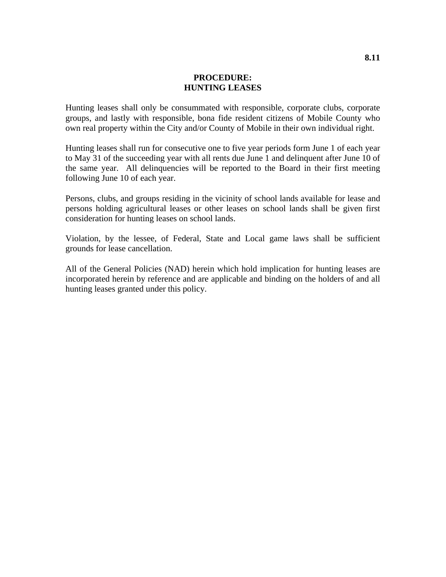### **PROCEDURE: HUNTING LEASES**

Hunting leases shall only be consummated with responsible, corporate clubs, corporate groups, and lastly with responsible, bona fide resident citizens of Mobile County who own real property within the City and/or County of Mobile in their own individual right.

Hunting leases shall run for consecutive one to five year periods form June 1 of each year to May 31 of the succeeding year with all rents due June 1 and delinquent after June 10 of the same year. All delinquencies will be reported to the Board in their first meeting following June 10 of each year.

Persons, clubs, and groups residing in the vicinity of school lands available for lease and persons holding agricultural leases or other leases on school lands shall be given first consideration for hunting leases on school lands.

Violation, by the lessee, of Federal, State and Local game laws shall be sufficient grounds for lease cancellation.

All of the General Policies (NAD) herein which hold implication for hunting leases are incorporated herein by reference and are applicable and binding on the holders of and all hunting leases granted under this policy.